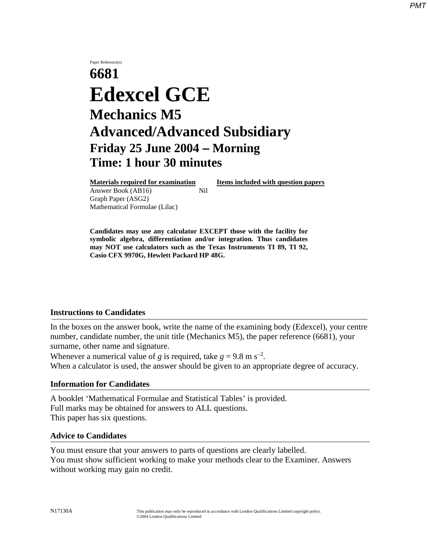## Paper Reference(s) **6681 Edexcel GCE Mechanics M5 Advanced/Advanced Subsidiary Friday 25 June 2004** − **Morning Time: 1 hour 30 minutes**

Answer Book (AB16) **Nil** Graph Paper (ASG2) Mathematical Formulae (Lilac)

**Materials required for examination Items included with question papers**

**Candidates may use any calculator EXCEPT those with the facility for symbolic algebra, differentiation and/or integration. Thus candidates may NOT use calculators such as the Texas Instruments TI 89, TI 92, Casio CFX 9970G, Hewlett Packard HP 48G.**

## **Instructions to Candidates**

In the boxes on the answer book, write the name of the examining body (Edexcel), your centre number, candidate number, the unit title (Mechanics M5), the paper reference (6681), your surname, other name and signature.

Whenever a numerical value of *g* is required, take  $g = 9.8$  m s<sup>-2</sup>. When a calculator is used, the answer should be given to an appropriate degree of accuracy.

## **Information for Candidates**

A booklet 'Mathematical Formulae and Statistical Tables' is provided. Full marks may be obtained for answers to ALL questions. This paper has six questions.

## **Advice to Candidates**

You must ensure that your answers to parts of questions are clearly labelled. You must show sufficient working to make your methods clear to the Examiner. Answers without working may gain no credit.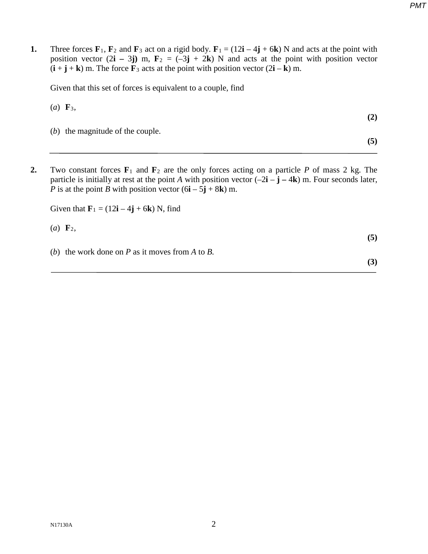*PMT*

**1.** Three forces  $\mathbf{F}_1$ ,  $\mathbf{F}_2$  and  $\mathbf{F}_3$  act on a rigid body.  $\mathbf{F}_1 = (12\mathbf{i} - 4\mathbf{j} + 6\mathbf{k})$  N and acts at the point with position vector  $(2\mathbf{i} - 3\mathbf{j})$  m,  $\mathbf{F}_2 = (-3\mathbf{j} + 2\mathbf{k})$  N and acts at the point with position vector  $(i + j + k)$  m. The force  $\mathbf{F}_3$  acts at the point with position vector  $(2i - k)$  m.

Given that this set of forces is equivalent to a couple, find

(*a*) **F**3,

**(2)**

**(5)**

- (*b*) the magnitude of the couple.
- **2.** Two constant forces **F**<sup>1</sup> and **F**<sup>2</sup> are the only forces acting on a particle *P* of mass 2 kg. The particle is initially at rest at the point *A* with position vector  $(-2\mathbf{i} - \mathbf{j} - 4\mathbf{k})$  m. Four seconds later, *P* is at the point *B* with position vector  $(6\mathbf{i} - 5\mathbf{j} + 8\mathbf{k})$  m.

Given that  $\mathbf{F}_1 = (12\mathbf{i} - 4\mathbf{j} + 6\mathbf{k})$  N, find

 $(a)$   $\mathbf{F}_2$ ,

- 
- (*b*) the work done on *P* as it moves from *A* to *B.*

**(3)**

**(5)**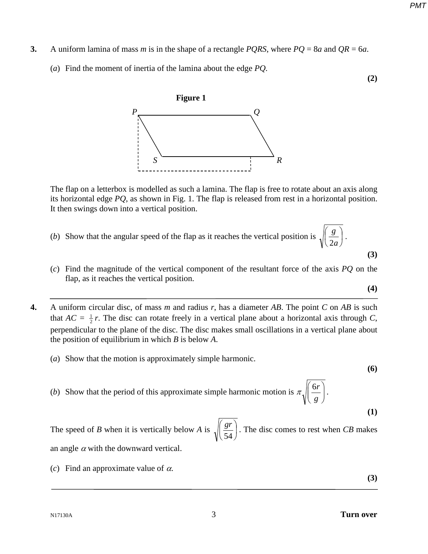- **3.** A uniform lamina of mass *m* is in the shape of a rectangle *PQRS*, where *PQ* = 8*a* and *QR* = 6*a*.
	- (*a*) Find the moment of inertia of the lamina about the edge *PQ.*

**(2)**



The flap on a letterbox is modelled as such a lamina. The flap is free to rotate about an axis along its horizontal edge *PQ*, as shown in Fig. 1. The flap is released from rest in a horizontal position. It then swings down into a vertical position.

- (*b*) Show that the angular speed of the flap as it reaches the vertical position is  $\sqrt{\frac{6}{2}}$ J  $\left(\frac{g}{2}\right)$ L ſ *a*  $\left(\frac{g}{2a}\right)$ . **(3)**
- (*c*) Find the magnitude of the vertical component of the resultant force of the axis *PQ* on the flap, as it reaches the vertical position.

$$
(\mathbf{4})
$$

- **4.** A uniform circular disc, of mass *m* and radius *r*, has a diameter *AB*. The point *C* on *AB* is such that  $AC = \frac{1}{2}r$ . The disc can rotate freely in a vertical plane about a horizontal axis through *C*, perpendicular to the plane of the disc. The disc makes small oscillations in a vertical plane about the position of equilibrium in which *B* is below *A*.
	- (*a*) Show that the motion is approximately simple harmonic.

**(6)**

**(1)**

(*b*) Show that the period of this approximate simple harmonic motion is  $\pi \sqrt{\frac{d}{a}}$  $\bigg)$  $\backslash$  $\overline{\phantom{a}}$  $\setminus$ ſ *g*  $\frac{6r}{\cdot}$ .

The speed of *B* when it is vertically below *A* is  $\sqrt{\frac{s'}{s'}}$ J  $\left(\frac{gr}{\sigma} \right)$ J ſ 54  $\left(\frac{gr}{\epsilon}\right)$ . The disc comes to rest when *CB* makes an angle  $\alpha$  with the downward vertical.

(*c*) Find an approximate value of  $\alpha$ .

**(3)**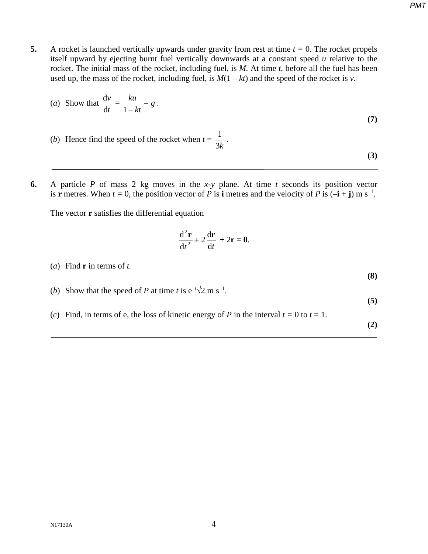**5.** A rocket is launched vertically upwards under gravity from rest at time  $t = 0$ . The rocket propels itself upward by ejecting burnt fuel vertically downwards at a constant speed *u* relative to the rocket. The initial mass of the rocket, including fuel, is *M.* At time *t*, before all the fuel has been used up, the mass of the rocket, including fuel, is  $M(1 - kt)$  and the speed of the rocket is *v*.

(a) Show that 
$$
\frac{dv}{dt} = \frac{ku}{1 - kt} - g
$$
 (7)

- (*b*) Hence find the speed of the rocket when  $t =$ 3*k*  $\frac{1}{\sqrt{2}}$ . **(3)**
- **6.** A particle *P* of mass 2 kg moves in the *x*-*y* plane. At time *t* seconds its position vector is **r** metres. When  $t = 0$ , the position vector of *P* is **i** metres and the velocity of *P* is  $(-\mathbf{i} + \mathbf{j})$  m s<sup>-1</sup>.

The vector **r** satisfies the differential equation

$$
\frac{\mathrm{d}^2\mathbf{r}}{\mathrm{d}t^2} + 2\frac{\mathrm{d}\mathbf{r}}{\mathrm{d}t} + 2\mathbf{r} = \mathbf{0}.
$$

(*a*) Find **r** in terms of *t.*

(*b*) Show that the speed of *P* at time *t* is  $e^{-t}\sqrt{2}$  m s<sup>-1</sup>.

(*c*) Find, in terms of e, the loss of kinetic energy of *P* in the interval  $t = 0$  to  $t = 1$ .

**(2)**

**(5)**

**(8)**